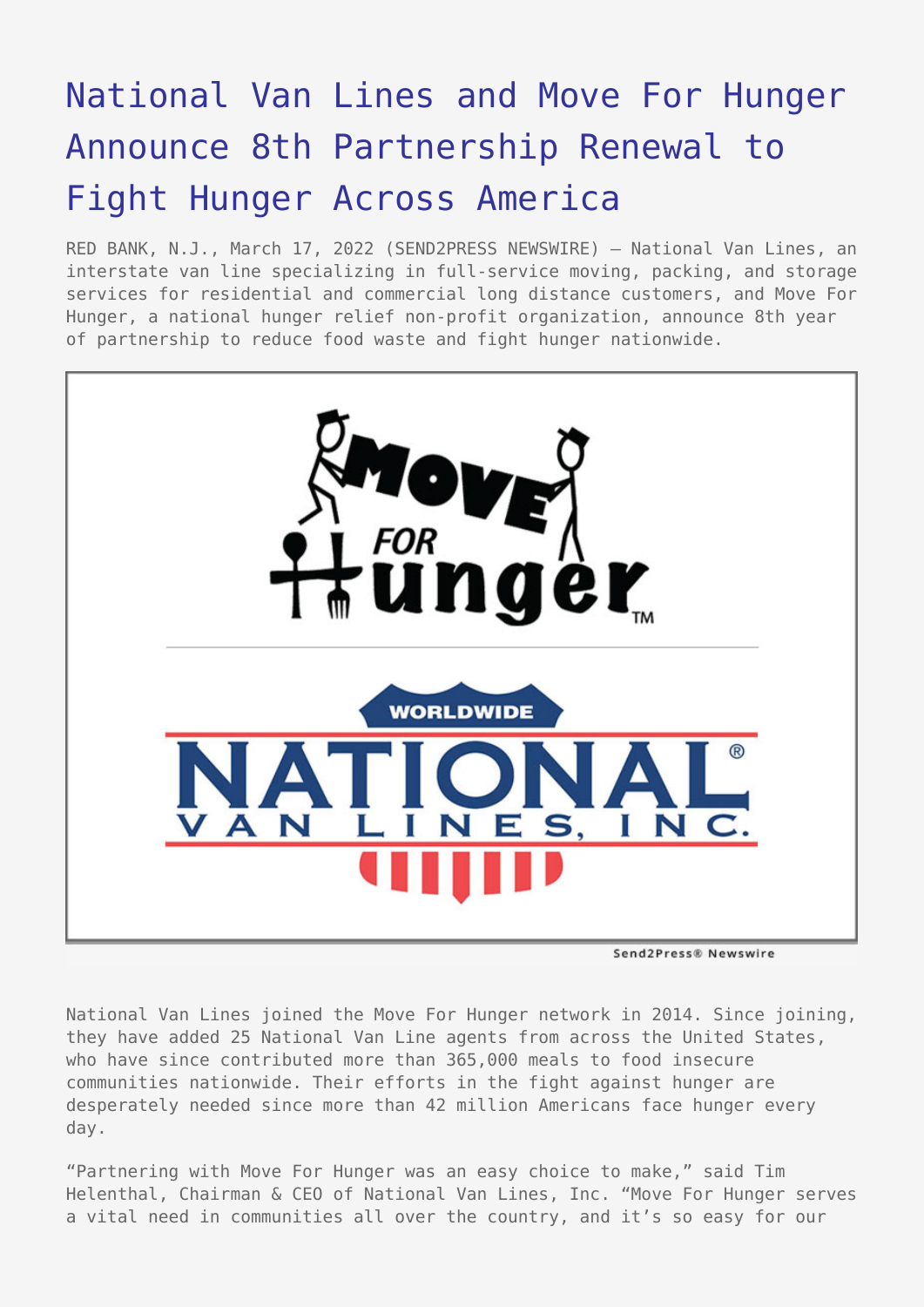# [National Van Lines and Move For Hunger](https://www.send2press.com/wire/national-van-lines-and-move-for-hunger-announce-8th-partnership-renewal-to-fight-hunger-across-america/) [Announce 8th Partnership Renewal to](https://www.send2press.com/wire/national-van-lines-and-move-for-hunger-announce-8th-partnership-renewal-to-fight-hunger-across-america/) [Fight Hunger Across America](https://www.send2press.com/wire/national-van-lines-and-move-for-hunger-announce-8th-partnership-renewal-to-fight-hunger-across-america/)

RED BANK, N.J., March 17, 2022 (SEND2PRESS NEWSWIRE) — National Van Lines, an interstate van line specializing in full-service moving, packing, and storage services for residential and commercial long distance customers, and Move For Hunger, a national hunger relief non-profit organization, announce 8th year of partnership to reduce food waste and fight hunger nationwide.



Send2Press® Newswire

National Van Lines joined the Move For Hunger network in 2014. Since joining, they have added 25 National Van Line agents from across the United States, who have since contributed more than 365,000 meals to food insecure communities nationwide. Their efforts in the fight against hunger are desperately needed since more than 42 million Americans face hunger every day.

"Partnering with Move For Hunger was an easy choice to make," said Tim Helenthal, Chairman & CEO of National Van Lines, Inc. "Move For Hunger serves a vital need in communities all over the country, and it's so easy for our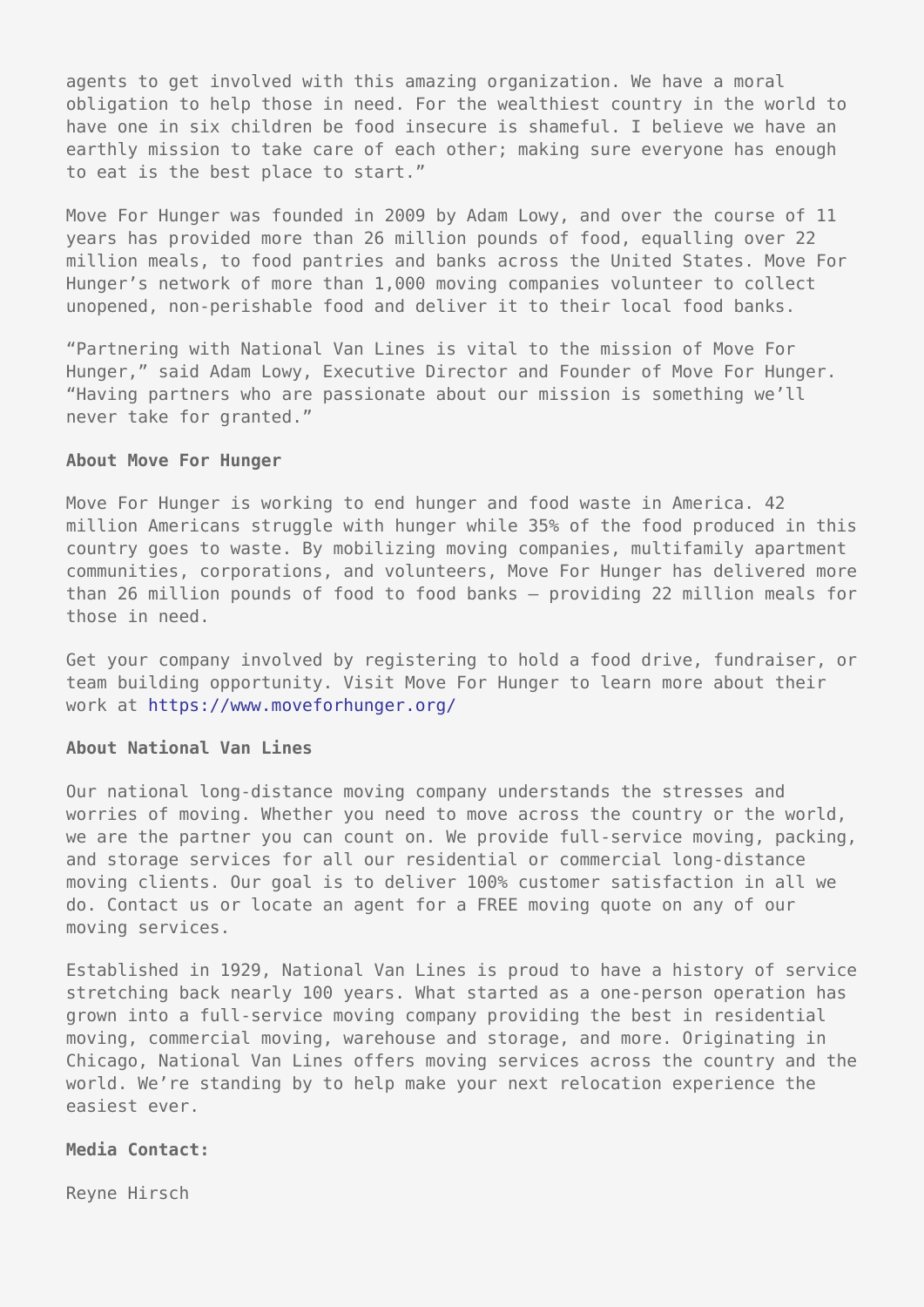agents to get involved with this amazing organization. We have a moral obligation to help those in need. For the wealthiest country in the world to have one in six children be food insecure is shameful. I believe we have an earthly mission to take care of each other; making sure everyone has enough to eat is the best place to start."

Move For Hunger was founded in 2009 by Adam Lowy, and over the course of 11 years has provided more than 26 million pounds of food, equalling over 22 million meals, to food pantries and banks across the United States. Move For Hunger's network of more than 1,000 moving companies volunteer to collect unopened, non-perishable food and deliver it to their local food banks.

"Partnering with National Van Lines is vital to the mission of Move For Hunger," said Adam Lowy, Executive Director and Founder of Move For Hunger. "Having partners who are passionate about our mission is something we'll never take for granted."

#### **About Move For Hunger**

Move For Hunger is working to end hunger and food waste in America. 42 million Americans struggle with hunger while 35% of the food produced in this country goes to waste. By mobilizing moving companies, multifamily apartment communities, corporations, and volunteers, Move For Hunger has delivered more than 26 million pounds of food to food banks – providing 22 million meals for those in need.

Get your company involved by registering to hold a food drive, fundraiser, or team building opportunity. Visit Move For Hunger to learn more about their work at<https://www.moveforhunger.org/>

#### **About National Van Lines**

Our national long-distance moving company understands the stresses and worries of moving. Whether you need to move across the country or the world, we are the partner you can count on. We provide full-service moving, packing, and storage services for all our residential or commercial long-distance moving clients. Our goal is to deliver 100% customer satisfaction in all we do. Contact us or locate an agent for a FREE moving quote on any of our moving services.

Established in 1929, National Van Lines is proud to have a history of service stretching back nearly 100 years. What started as a one-person operation has grown into a full-service moving company providing the best in residential moving, commercial moving, warehouse and storage, and more. Originating in Chicago, National Van Lines offers moving services across the country and the world. We're standing by to help make your next relocation experience the easiest ever.

### **Media Contact:**

Reyne Hirsch